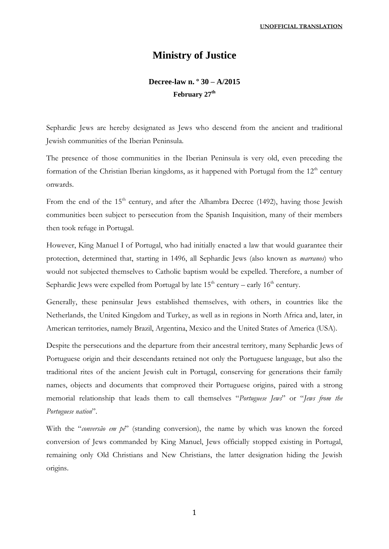# **Ministry of Justice**

## **Decree-law n. º 30 – A/2015 February 27th**

Sephardic Jews are hereby designated as Jews who descend from the ancient and traditional Jewish communities of the Iberian Peninsula.

The presence of those communities in the Iberian Peninsula is very old, even preceding the formation of the Christian Iberian kingdoms, as it happened with Portugal from the  $12<sup>th</sup>$  century onwards.

From the end of the  $15<sup>th</sup>$  century, and after the Alhambra Decree (1492), having those Jewish communities been subject to persecution from the Spanish Inquisition, many of their members then took refuge in Portugal.

However, King Manuel I of Portugal, who had initially enacted a law that would guarantee their protection, determined that, starting in 1496, all Sephardic Jews (also known as *marranos*) who would not subjected themselves to Catholic baptism would be expelled. Therefore, a number of Sephardic Jews were expelled from Portugal by late  $15<sup>th</sup>$  century – early  $16<sup>th</sup>$  century.

Generally, these peninsular Jews established themselves, with others, in countries like the Netherlands, the United Kingdom and Turkey, as well as in regions in North Africa and, later, in American territories, namely Brazil, Argentina, Mexico and the United States of America (USA).

Despite the persecutions and the departure from their ancestral territory, many Sephardic Jews of Portuguese origin and their descendants retained not only the Portuguese language, but also the traditional rites of the ancient Jewish cult in Portugal, conserving for generations their family names, objects and documents that comproved their Portuguese origins, paired with a strong memorial relationship that leads them to call themselves "*Portuguese Jews*" or "*Jews from the Portuguese nation*".

With the "*conversão em pé*" (standing conversion), the name by which was known the forced conversion of Jews commanded by King Manuel, Jews officially stopped existing in Portugal, remaining only Old Christians and New Christians, the latter designation hiding the Jewish origins.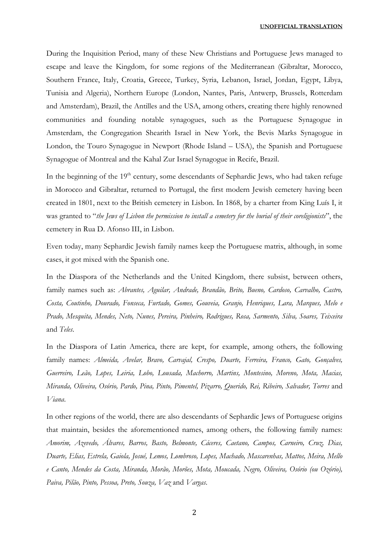#### **UNOFFICIAL TRANSLATION**

During the Inquisition Period, many of these New Christians and Portuguese Jews managed to escape and leave the Kingdom, for some regions of the Mediterranean (Gibraltar, Morocco, Southern France, Italy, Croatia, Greece, Turkey, Syria, Lebanon, Israel, Jordan, Egypt, Libya, Tunisia and Algeria), Northern Europe (London, Nantes, Paris, Antwerp, Brussels, Rotterdam and Amsterdam), Brazil, the Antilles and the USA, among others, creating there highly renowned communities and founding notable synagogues, such as the Portuguese Synagogue in Amsterdam, the Congregation Shearith Israel in New York, the Bevis Marks Synagogue in London, the Touro Synagogue in Newport (Rhode Island – USA), the Spanish and Portuguese Synagogue of Montreal and the Kahal Zur Israel Synagogue in Recife, Brazil.

In the beginning of the  $19<sup>th</sup>$  century, some descendants of Sephardic Jews, who had taken refuge in Morocco and Gibraltar, returned to Portugal, the first modern Jewish cemetery having been created in 1801, next to the British cemetery in Lisbon. In 1868, by a charter from King Luís I, it was granted to "*the Jews of Lisbon the permission to install a cemetery for the burial of their coreligionists*", the cemetery in Rua D. Afonso III, in Lisbon.

Even today, many Sephardic Jewish family names keep the Portuguese matrix, although, in some cases, it got mixed with the Spanish one.

In the Diaspora of the Netherlands and the United Kingdom, there subsist, between others, family names such as: *Abrantes, Aguilar, Andrade, Brandão, Brito, Bueno, Cardoso, Carvalho, Castro, Costa, Coutinho, Dourado, Fonseca, Furtado, Gomes, Gouveia, Granjo, Henriques, Lara, Marques, Melo e Prado, Mesquita, Mendes, Neto, Nunes, Pereira, Pinheiro, Rodrigues, Rosa, Sarmento, Silva, Soares, Teixeira*  and *Teles*.

In the Diaspora of Latin America, there are kept, for example, among others, the following family names: *Almeida, Avelar, Bravo, Carvajal, Crespo, Duarte, Ferreira, Franco, Gato, Gonçalves, Guerreiro, Leão, Lopes, Leiria, Lobo, Lousada, Machorro, Martins, Montesino, Moreno, Mota, Macias, Miranda, Oliveira, Osório, Pardo, Pina, Pinto, Pimentel, Pizarro, Querido, Rei, Ribeiro, Salvador, Torres* and *Viana*.

In other regions of the world, there are also descendants of Sephardic Jews of Portuguese origins that maintain, besides the aforementioned names, among others, the following family names: *Amorim, Azevedo, Álvares, Barros, Basto, Belmonte, Cáceres, Caetano, Campos, Carneiro, Cruz, Dias, Duarte, Elias, Estrela, Gaiola, Josué, Lemos, Lombroso, Lopes, Machado, Mascarenhas, Mattos, Meira, Mello e Canto, Mendes da Costa, Miranda, Morão, Morões, Mota, Moucada, Negro, Oliveira, Osório (ou Ozório), Paiva, Pilão, Pinto, Pessoa, Preto, Souza, Vaz* and *Vargas*.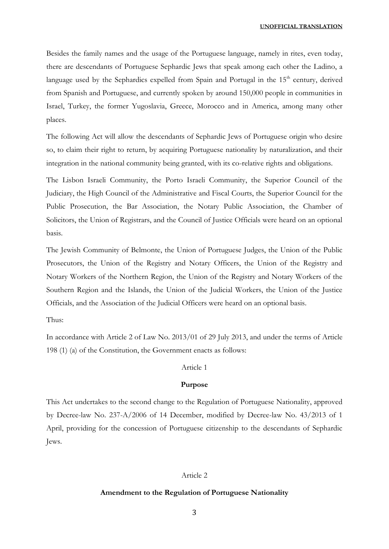Besides the family names and the usage of the Portuguese language, namely in rites, even today, there are descendants of Portuguese Sephardic Jews that speak among each other the Ladino, a language used by the Sephardics expelled from Spain and Portugal in the  $15<sup>th</sup>$  century, derived from Spanish and Portuguese, and currently spoken by around 150,000 people in communities in Israel, Turkey, the former Yugoslavia, Greece, Morocco and in America, among many other places.

The following Act will allow the descendants of Sephardic Jews of Portuguese origin who desire so, to claim their right to return, by acquiring Portuguese nationality by naturalization, and their integration in the national community being granted, with its co-relative rights and obligations.

The Lisbon Israeli Community, the Porto Israeli Community, the Superior Council of the Judiciary, the High Council of the Administrative and Fiscal Courts, the Superior Council for the Public Prosecution, the Bar Association, the Notary Public Association, the Chamber of Solicitors, the Union of Registrars, and the Council of Justice Officials were heard on an optional basis.

The Jewish Community of Belmonte, the Union of Portuguese Judges, the Union of the Public Prosecutors, the Union of the Registry and Notary Officers, the Union of the Registry and Notary Workers of the Northern Region, the Union of the Registry and Notary Workers of the Southern Region and the Islands, the Union of the Judicial Workers, the Union of the Justice Officials, and the Association of the Judicial Officers were heard on an optional basis.

Thus:

In accordance with Article 2 of Law No. 2013/01 of 29 July 2013, and under the terms of Article 198 (1) (a) of the Constitution, the Government enacts as follows:

### Article 1

#### **Purpose**

This Act undertakes to the second change to the Regulation of Portuguese Nationality, approved by Decree-law No. 237-A/2006 of 14 December, modified by Decree-law No. 43/2013 of 1 April, providing for the concession of Portuguese citizenship to the descendants of Sephardic Jews.

#### Article 2

#### **Amendment to the Regulation of Portuguese Nationality**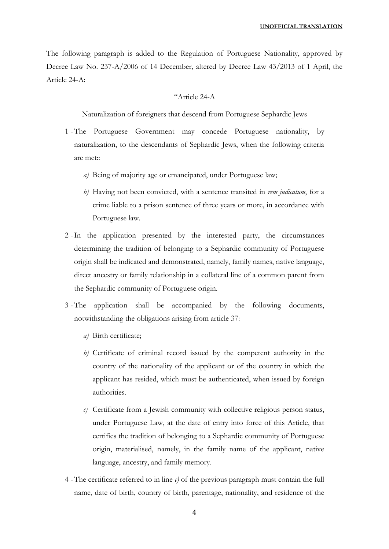The following paragraph is added to the Regulation of Portuguese Nationality, approved by Decree Law No. 237-A/2006 of 14 December, altered by Decree Law 43/2013 of 1 April, the Article 24-A:

#### "Article 24-A

Naturalization of foreigners that descend from Portuguese Sephardic Jews

- 1 -The Portuguese Government may concede Portuguese nationality, by naturalization, to the descendants of Sephardic Jews, when the following criteria are met::
	- *a)* Being of majority age or emancipated, under Portuguese law;
	- *b)* Having not been convicted, with a sentence transited in *rem judicatum*, for a crime liable to a prison sentence of three years or more, in accordance with Portuguese law.
- 2 -In the application presented by the interested party, the circumstances determining the tradition of belonging to a Sephardic community of Portuguese origin shall be indicated and demonstrated, namely, family names, native language, direct ancestry or family relationship in a collateral line of a common parent from the Sephardic community of Portuguese origin.
- 3 -The application shall be accompanied by the following documents, notwithstanding the obligations arising from article 37:
	- *a)* Birth certificate;
	- *b)* Certificate of criminal record issued by the competent authority in the country of the nationality of the applicant or of the country in which the applicant has resided, which must be authenticated, when issued by foreign authorities.
	- *c)* Certificate from a Jewish community with collective religious person status, under Portuguese Law, at the date of entry into force of this Article, that certifies the tradition of belonging to a Sephardic community of Portuguese origin, materialised, namely, in the family name of the applicant, native language, ancestry, and family memory.
- 4 -The certificate referred to in line *c)* of the previous paragraph must contain the full name, date of birth, country of birth, parentage, nationality, and residence of the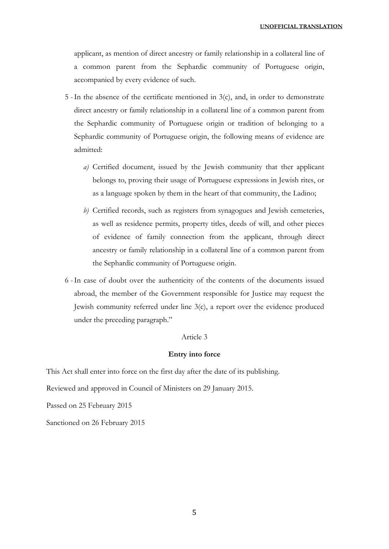applicant, as mention of direct ancestry or family relationship in a collateral line of a common parent from the Sephardic community of Portuguese origin, accompanied by every evidence of such.

- 5 -In the absence of the certificate mentioned in 3(c), and, in order to demonstrate direct ancestry or family relationship in a collateral line of a common parent from the Sephardic community of Portuguese origin or tradition of belonging to a Sephardic community of Portuguese origin, the following means of evidence are admitted:
	- *a)* Certified document, issued by the Jewish community that ther applicant belongs to, proving their usage of Portuguese expressions in Jewish rites, or as a language spoken by them in the heart of that community, the Ladino;
	- *b)* Certified records, such as registers from synagogues and Jewish cemeteries, as well as residence permits, property titles, deeds of will, and other pieces of evidence of family connection from the applicant, through direct ancestry or family relationship in a collateral line of a common parent from the Sephardic community of Portuguese origin.
- 6 -In case of doubt over the authenticity of the contents of the documents issued abroad, the member of the Government responsible for Justice may request the Jewish community referred under line 3(c), a report over the evidence produced under the preceding paragraph."

#### Article 3

#### **Entry into force**

This Act shall enter into force on the first day after the date of its publishing.

Reviewed and approved in Council of Ministers on 29 January 2015.

Passed on 25 February 2015

Sanctioned on 26 February 2015